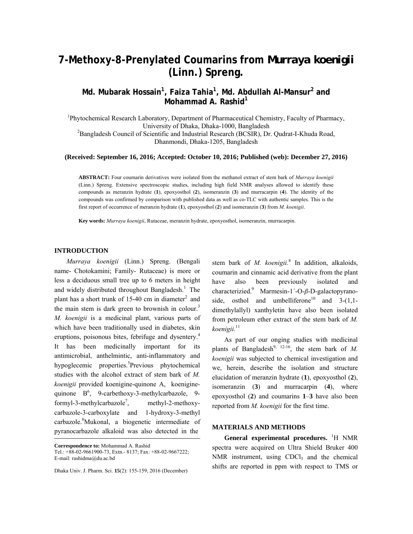# **7-Methoxy-8-Prenylated Coumarins from** *Murraya koenigii* **(Linn.) Spreng.**

**Md. Mubarak Hossain1 , Faiza Tahia<sup>1</sup> , Md. Abdullah Al-Mansur2 and Mohammad A. Rashid<sup>1</sup>**

<sup>1</sup>Phytochemical Research Laboratory, Department of Pharmaceutical Chemistry, Faculty of Pharmacy, University of Dhaka, Dhaka-1000, Bangladesh 2 <sup>2</sup>Bangladesh Council of Scientific and Industrial Research (BCSIR), Dr. Qudrat-I-Khuda Road, Dhanmondi, Dhaka-1205, Bangladesh

**(Received: September 16, 2016; Accepted: October 10, 2016; Published (web): December 27, 2016)** 

**ABSTRACT:** Four coumarin derivatives were isolated from the methanol extract of stem bark of *Murraya koenigii* (Linn.) Spreng. Extensive spectroscopic studies, including high field NMR analyses allowed to identify these compounds as meranzin hydrate (**1**), epoxyosthol (**2**), isomeranzin (**3**) and murracarpin (**4**). The identity of the compounds was confirmed by comparison with published data as well as co-TLC with authentic samples. This is the first report of occurrence of meranzin hydrate (**1**), epoxyosthol (**2**) and isomeranzin (**3**) from *M. koenigii*.

**Key words:** *Murraya koenigii*, Rutaceae, meranzin hydrate, epoxyosthol, isomeranzin, murracarpin.

#### **INTRODUCTION**

 *Murraya koenigii* (Linn.) Spreng. (Bengali name- Chotokamini; Family- Rutaceae) is more or less a deciduous small tree up to 6 meters in height and widely distributed throughout Bangladesh.<sup>1</sup> The plant has a short trunk of 15-40 cm in diameter<sup>2</sup> and the main stem is dark green to brownish in colour.<sup>3</sup> *M. koenigii* is a medicinal plant, various parts of which have been traditionally used in diabetes, skin eruptions, poisonous bites, febrifuge and dysentery.<sup>4</sup> It has been medicinally important for its antimicrobial, anthelmintic, anti-inflammatory and hypoglecemic properties.<sup>5</sup>Previous phytochemical studies with the alcohol extract of stem bark of *M. koenigii* provided koenigine-quinone A, koeniginequinone  $B^6$ , 9-carbethoxy-3-methylcarbazole, 9formyl-3-methylcarbazole<sup>7</sup>. , methyl-2-methoxycarbazole-3-carboxylate and 1-hydroxy-3-methyl carbazole.<sup>8</sup>Mukonal, a biogenetic intermediate of pyranocarbazole alkaloid was also detected in the

stem bark of *M. koenigii.*8 In addition, alkaloids, coumarin and cinnamic acid derivative from the plant have also been previously isolated and characterizied.9 Marmesin-1΄-O-*β*-D-galactopyranoside, osthol and umbelliferone<sup>10</sup> and  $3-(1,1$ dimethylallyl) xanthyletin have also been isolated from petroleum ether extract of the stem bark of *M. koenigii.*<sup>11</sup>

 As part of our onging studies with medicinal plants of Bangladesh<sup>9, 12-16</sup>, the stem bark of *M*. *koenigii* was subjected to chemical investigation and we, herein, describe the isolation and structure elucidation of meranzin hydrate (**1**), epoxyosthol (**2**), isomeranzin (**3**) and murracarpin (**4**), where epoxyosthol (**2**) and coumarins **1**–**3** have also been reported from *M. koenigii* for the first time.

## **MATERIALS AND METHODS**

General experimental procedures. <sup>1</sup>H NMR spectra were acquired on Ultra Shield Bruker 400 NMR instrument, using  $CDCl<sub>3</sub>$  and the chemical shifts are reported in ppm with respect to TMS or

**Correspondence to:** Mohammad A. Rashid Tel.: +88-02-9661900-73, Extn.- 8137; Fax: +88-02-9667222; E-mail: rashidma@du.ac.bd

Dhaka Univ. J. Pharm. Sci. **15**(2): 155-159, 2016 (December)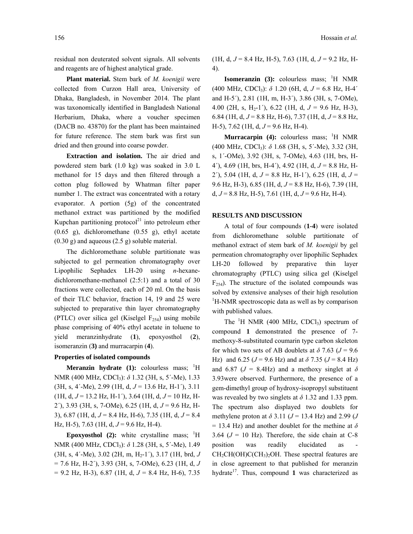residual non deuterated solvent signals. All solvents and reagents are of highest analytical grade.

 **Plant material.** Stem bark of *M. koenigii* were collected from Curzon Hall area, University of Dhaka, Bangladesh, in November 2014. The plant was taxonomically identified in Bangladesh National Herbarium, Dhaka, where a voucher specimen (DACB no. 43870) for the plant has been maintained for future reference. The stem bark was first sun dried and then ground into coarse powder.

 **Extraction and isolation.** The air dried and powdered stem bark (1.0 kg) was soaked in 3.0 L methanol for 15 days and then filtered through a cotton plug followed by Whatman filter paper number 1. The extract was concentrated with a rotary evaporator. A portion (5g) of the concentrated methanol extract was partitioned by the modified Kupchan partitioning protocol $^{21}$  into petroleum ether (0.65 g), dichloromethane (0.55 g), ethyl acetate (0.30 g) and aqueous (2.5 g) soluble material.

 The dichloromethane soluble partitionate was subjected to gel permeation chromatography over Lipophilic Sephadex LH-20 using *n*-hexanedichloromethane-methanol (2:5:1) and a total of 30 fractions were collected, each of 20 ml. On the basis of their TLC behavior, fraction 14, 19 and 25 were subjected to preparative thin layer chromatography (PTLC) over silica gel (Kiselgel  $F_{254}$ ) using mobile phase comprising of 40% ethyl acetate in toluene to yield meranzinhydrate (**1**), epoxyosthol (**2**), isomeranzin (**3)** and murracarpin (**4**).

### **Properties of isolated compounds**

**Meranzin hydrate (1):** colourless mass;  ${}^{1}H$ NMR (400 MHz, CDCl3): *δ* 1.32 (3H, s, 5΄-Me), 1.33 (3H, s, 4΄-Me), 2.99 (1H, d, *J* = 13.6 Hz, H-1΄), 3.11 (1H, d, *J* = 13.2 Hz, H-1΄), 3.64 (1H, d, *J* = 10 Hz, H-2΄), 3.93 (3H, s, 7-OMe), 6.25 (1H, d, *J* = 9.6 Hz, H-3), 6.87 (1H, d, *J* = 8.4 Hz, H-6), 7.35 (1H, d, *J* = 8.4 Hz, H-5), 7.63 (1H, d,  $J = 9.6$  Hz, H-4).

**Epoxyosthol** (2): white crystalline mass;  ${}^{1}H$ NMR (400 MHz, CDCl3): *δ* 1.28 (3H, s, 5΄-Me), 1.49 (3H, s, 4΄-Me), 3.02 (2H, m, H2-1΄), 3.17 (1H, brd, *J*  = 7.6 Hz, H-2΄), 3.93 (3H, s, 7-OMe), 6.23 (1H, d, *J*  = 9.2 Hz, H-3), 6.87 (1H, d, *J* = 8.4 Hz, H-6), 7.35

(1H, d, *J* = 8.4 Hz, H-5), 7.63 (1H, d, *J* = 9.2 Hz, H-4).

**Isomeranzin** (3): colourless mass; <sup>1</sup>H NMR (400 MHz, CDCl<sub>3</sub>):  $\delta$  1.20 (6H, d,  $J = 6.8$  Hz, H-4<sup>'</sup> and H-5΄), 2.81 (1H, m, H-3΄), 3.86 (3H, s, 7-OMe), 4.00 (2H, s, H<sub>2</sub>-1'), 6.22 (1H, d,  $J = 9.6$  Hz, H-3), 6.84 (1H, d, *J* = 8.8 Hz, H-6), 7.37 (1H, d, *J* = 8.8 Hz, H-5), 7.62 (1H, d, *J* = 9.6 Hz, H-4).

**Murracarpin** (4): colourless mass; <sup>1</sup>H NMR (400 MHz, CDCl3): *δ* 1.68 (3H, s, 5΄-Me), 3.32 (3H, s, 1΄-OMe), 3.92 (3H, s, 7-OMe), 4.63 (1H, brs, H-4΄), 4.69 (1H, brs, H-4΄), 4.92 (1H, d, *J* = 8.8 Hz, H-2΄), 5.04 (1H, d, *J* = 8.8 Hz, H-1΄), 6.25 (1H, d, *J* = 9.6 Hz, H-3), 6.85 (1H, d, *J* = 8.8 Hz, H-6), 7.39 (1H, d,  $J = 8.8$  Hz, H-5), 7.61 (1H, d,  $J = 9.6$  Hz, H-4).

## **RESULTS AND DISCUSSION**

 A total of four compounds (**1-4**) were isolated from dichloromethane soluble partitionate of methanol extract of stem bark of *M. koenigii* by gel permeation chromatography over lipophilic Sephadex LH-20 followed by preparative thin layer chromatography (PTLC) using silica gel (Kiselgel  $F_{254}$ ). The structure of the isolated compounds was solved by extensive analyses of their high resolution H-NMR spectroscopic data as well as by comparison with published values.

The  ${}^{1}H$  NMR (400 MHz, CDCl<sub>3</sub>) spectrum of compound **1** demonstrated the presence of 7 methoxy-8-substituted coumarin type carbon skeleton for which two sets of AB doublets at  $\delta$  7.63 ( $J = 9.6$ ) Hz) and 6.25 ( $J = 9.6$  Hz) and at  $\delta$  7.35 ( $J = 8.4$  Hz) and 6.87 ( $J = 8.4$ Hz) and a methoxy singlet at  $\delta$ 3.93were observed. Furthermore, the presence of a gem-dimethyl group of hydroxy-isopropyl substituent was revealed by two singlets at  $\delta$  1.32 and 1.33 ppm. The spectrum also displayed two doublets for methylene proton at  $\delta$  3.11 ( $J = 13.4$  Hz) and 2.99 (*J*  $= 13.4$  Hz) and another doublet for the methine at  $\delta$ 3.64  $(J = 10$  Hz). Therefore, the side chain at C-8 position was readily elucidated as  $CH_2CH(OH)C(CH_3)_2OH$ . These spectral features are in close agreement to that published for meranzin hydrate<sup>17</sup>. Thus, compound **1** was characterized as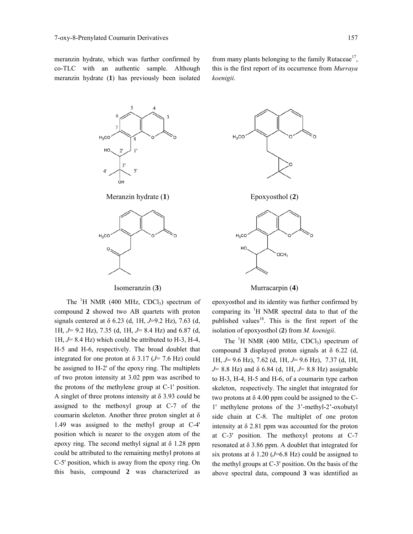meranzin hydrate, which was further confirmed by co-TLC with an authentic sample. Although meranzin hydrate (**1**) has previously been isolated from many plants belonging to the family Rutaceae<sup>17</sup>, this is the first report of its occurrence from *Murraya koenigii*.





The  ${}^{1}H$  NMR (400 MHz, CDCl<sub>3</sub>) spectrum of compound **2** showed two AB quartets with proton signals centered at δ 6.23 (d, 1H, *J*=9.2 Hz), 7.63 (d, 1H, *J*= 9.2 Hz), 7.35 (d, 1H, *J*= 8.4 Hz) and 6.87 (d, 1H, *J*= 8.4 Hz) which could be attributed to H-3, H-4, H-5 and H-6, respectively. The broad doublet that integrated for one proton at  $\delta$  3.17 ( $J$ = 7.6 Hz) could be assigned to H-2' of the epoxy ring. The multiplets of two proton intensity at 3.02 ppm was ascribed to the protons of the methylene group at C-1' position. A singlet of three protons intensity at  $\delta$  3.93 could be assigned to the methoxyl group at C-7 of the coumarin skeleton. Another three proton singlet at δ 1.49 was assigned to the methyl group at C-4' position which is nearer to the oxygen atom of the epoxy ring. The second methyl signal at δ 1.28 ppm could be attributed to the remaining methyl protons at C-5' position, which is away from the epoxy ring. On this basis, compound **2** was characterized as



Isomeranzin (**3**) Murracarpin (**4**)

epoxyosthol and its identity was further confirmed by comparing its  ${}^{1}H$  NMR spectral data to that of the published values<sup>18</sup>. This is the first report of the isolation of epoxyosthol (**2**) from *M. koenigii*.

The  ${}^{1}H$  NMR (400 MHz, CDCl<sub>3</sub>) spectrum of compound **3** displayed proton signals at δ 6.22 (d, 1H, *J*= 9.6 Hz), 7.62 (d, 1H, *J*= 9.6 Hz), 7.37 (d, 1H, *J*= 8.8 Hz) and δ 6.84 (d, 1H, *J*= 8.8 Hz) assignable to H-3, H-4, H-5 and H-6, of a coumarin type carbon skeleton, respectively. The singlet that integrated for two protons at  $\delta$  4.00 ppm could be assigned to the C-1' methylene protons of the 3'-methyl-2'-oxobutyl side chain at C-8. The multiplet of one proton intensity at δ 2.81 ppm was accounted for the proton at C-3' position. The methoxyl protons at C-7 resonated at δ 3.86 ppm. A doublet that integrated for six protons at  $\delta$  1.20 (*J*=6.8 Hz) could be assigned to the methyl groups at C-3' position. On the basis of the above spectral data, compound **3** was identified as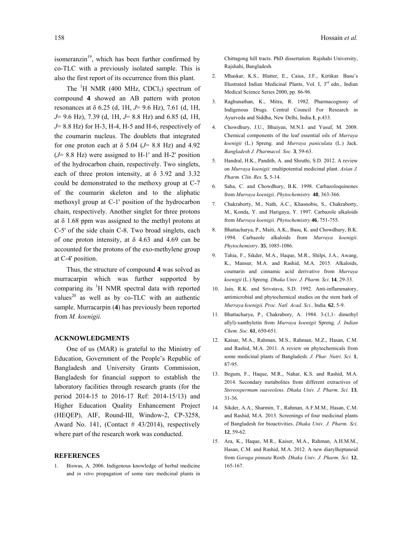isomeranzin $19$ , which has been further confirmed by co-TLC with a previously isolated sample. This is also the first report of its occurrence from this plant.

The  ${}^{1}H$  NMR (400 MHz, CDCl<sub>3</sub>) spectrum of compound **4** showed an AB pattern with proton resonances at δ 6.25 (d, 1H, *J*= 9.6 Hz), 7.61 (d, 1H, *J*= 9.6 Hz), 7.39 (d, 1H, *J*= 8.8 Hz) and 6.85 (d, 1H, *J*= 8.8 Hz) for H-3, H-4, H-5 and H-6, respectively of the coumarin nucleus. The doublets that integrated for one proton each at  $\delta$  5.04 ( $J$ = 8.8 Hz) and 4.92 (*J*= 8.8 Hz) were assigned to H-1' and H-2' position of the hydrocarbon chain, respectively. Two singlets, each of three proton intensity, at  $\delta$  3.92 and 3.32 could be demonstrated to the methoxy group at C-7 of the coumarin skeleton and to the aliphatic methoxyl group at C-1' position of the hydrocarbon chain, respectively. Another singlet for three protons at δ 1.68 ppm was assigned to the methyl protons at C-5' of the side chain C-8. Two broad singlets, each of one proton intensity, at  $\delta$  4.63 and 4.69 can be accounted for the protons of the exo-methylene group at C-4' position.

 Thus, the structure of compound **4** was solved as murracarpin which was further supported by comparing its <sup>1</sup>H NMR spectral data with reported values<sup>20</sup> as well as by co-TLC with an authentic sample. Murracarpin (**4**) has previously been reported from *M. koenigii.*

#### **ACKNOWLEDGMENTS**

 One of us (MAR) is grateful to the Ministry of Education, Government of the People's Republic of Bangladesh and University Grants Commission, Bangladesh for financial support to establish the laboratory facilities through research grants (for the period 2014-15 to 2016-17 Ref: 2014-15/13) and Higher Education Quality Enhancement Project (HEQEP), AIF, Round-III, Window-2, CP-3258, Award No. 141, (Contact  $# 43/2014$ ), respectively where part of the research work was conducted.

#### **REFERENCES**

1. Biswas, A. 2006. Indigenous knowledge of herbal medicine and *in vitro* propagation of some rare medicinal plants in Chittagong hill tracts. PhD dissertation. Rajshahi University, Rajshahi, Bangladesh.

- 2. Mhaskar, K.S., Blatter, E., Caius, J.F., Kirtikar. Basu's Illustrated Indian Medicinal Plants, Vol. I, 3<sup>rd</sup> edn., Indian Medical Science Series 2000, pp. 86-96.
- 3. Raghunathan, K., Mitra, R. 1982. Pharmacognosy of Indigenous Drugs. Central Council For Research in Ayurveda and Siddha, New Delhi, India.**1**, p.433.
- 4. Chowdhury, J.U., Bhuiyan, M.N.I. and Yusuf, M. 2008. Chemical components of the leaf essential oils of *Murraya koenigii* (L.) Spreng. and *Murraya paniculata* (L.) Jack. *Bangladesh J. Pharmacol. Soc.* **3**, 59-63.
- 5. Handral, H.K., Pandith, A. and Shruthi, S.D. 2012. A review on *Murraya koenigii*: multipotential medicinal plant. *Asian J. Pharm. Clin. Res.* **5**, 5-14.
- 6. Saha, C. and Chowdhury, B.K. 1998. Carbazoloquinones from *Murraya koenigii*. *Phytochemistry* **48**, 363-366.
- 7. Chakraborty, M., Nath, A.C., Khasnobis, S., Chakraborty, M., Konda, Y. and Harigaya, Y. 1997. Carbazole alkaloids from *Murraya koenigii*. *Phytochemistry* **46**, 751-755.
- 8. Bhattacharya, P., Maiti, A.K., Basu, K. and Chowdhury, B.K. 1994. Carbazole alkaloids from *Murraya koenigii*. *Phytochemistry*. **35**, 1085-1086.
- 9. Tahia, F., Sikder, M.A., Haque, M.R., Shilpi, J.A., Awang, K., Mansur, M.A. and Rashid, M.A. 2015. Alkaloids, coumarin and cinnamic acid derivative from *Murraya koenigii* (L.) Spreng. *Dhaka Univ. J. Pharm. Sci*. **14**, 29-33.
- 10. Jain, R.K. and Srivstava, S.D. 1992. Anti-inflammatory, antimicrobial and phytochemical studies on the stem bark of *Murraya koenigii. Proc. Natl. Acad. Sci.,* India*.* **62**, 5-9.
- 11. Bhattacharya, P., Chakrabory, A. 1984. 3-(1,1- dimethyl allyl)-xanthyletin from *Murraya koenigii* Spreng. *J. Indian Chem. Soc*. **61**, 650**-**651.
- 12. Kaisar, M.A., Rahman, M.S., Rahman, M.Z., Hasan, C.M. and Rashid, M.A. 2011. A review on phytochemicals from some medicinal plants of Bangladesh. *J. Phar. Nutri. Sci.* **1**, 87-95.
- 13. Begum, F., Haque, M.R., Nahar, K.S. and Rashid, M.A. 2014. Secondary metabolites from different extractives of *Stereospermum suaveolens*. *Dhaka Univ. J. Pharm. Sci.* **13**, 31-36.
- 14. Sikder, A.A., Sharmin, T., Rahman, A.F.M.M., Hasan, C.M. and Rashid, M.A. 2013. Screenings of four medicinal plants of Bangladesh for bioactivities. *Dhaka Univ. J. Pharm. Sci*. **12**, 59-62.
- 15. Ara, K., Haque, M.R., Kaiser, M.A., Rahman, A.H.M.M., Hasan, C.M. and Rashid, M.A. 2012. A new diarylheptanoid from *Garuga pinnata* Roxb. *Dhaka Univ. J. Pharm. Sci.* **12**, 165-167.